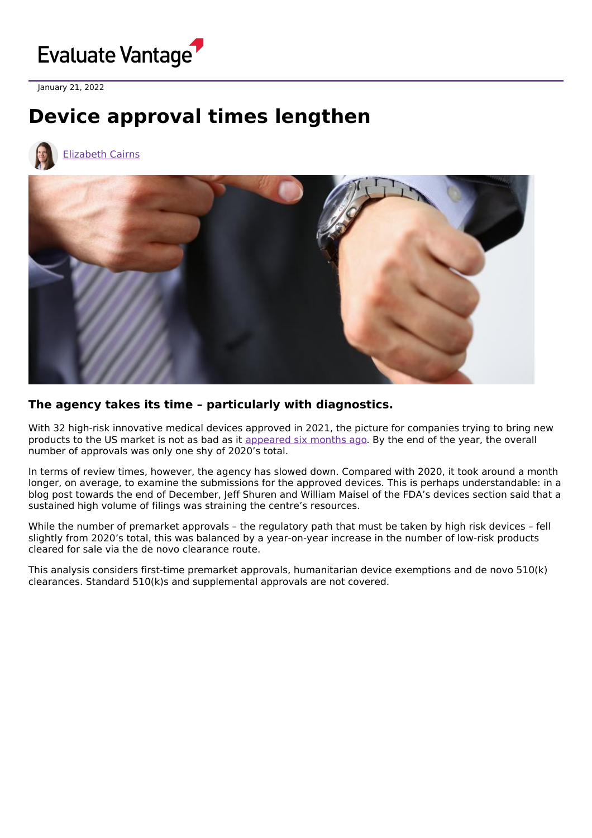

January 21, 2022

## **Device approval times lengthen**





## **The agency takes its time – particularly with diagnostics.**

With 32 high-risk innovative medical devices approved in 2021, the picture for companies trying to bring new products to the US market is not as bad as it [appeared](https://www.evaluate.com/vantage/articles/insights/other-data/fda-takes-its-foot-pedal) six months ago. By the end of the year, the overall number of approvals was only one shy of 2020's total.

In terms of review times, however, the agency has slowed down. Compared with 2020, it took around a month longer, on average, to examine the submissions for the approved devices. This is perhaps understandable: in a blog post towards the end of December, Jeff Shuren and William Maisel of the FDA's devices section said that a sustained high volume of filings was straining the centre's resources.

While the number of premarket approvals – the regulatory path that must be taken by high risk devices – fell slightly from 2020's total, this was balanced by a year-on-year increase in the number of low-risk products cleared for sale via the de novo clearance route.

This analysis considers first-time premarket approvals, humanitarian device exemptions and de novo 510(k) clearances. Standard 510(k)s and supplemental approvals are not covered.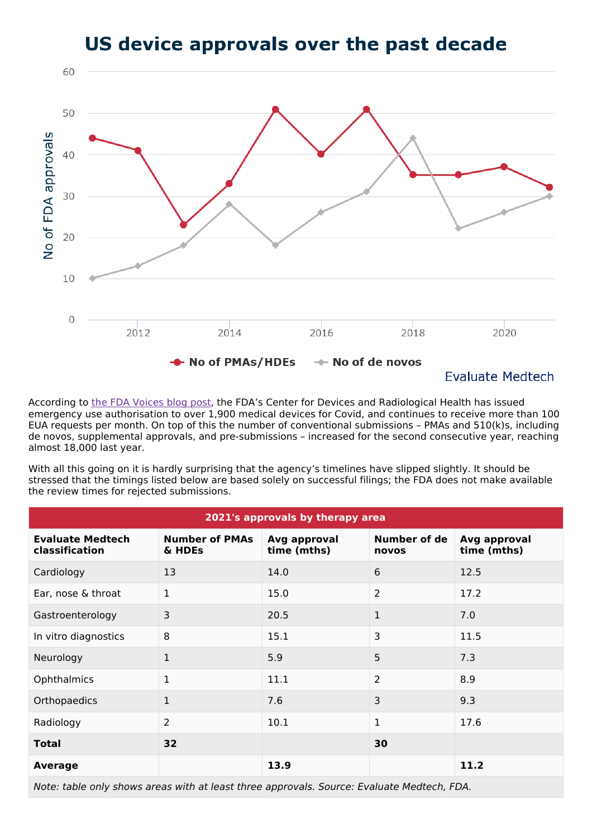

## US device approvals over the past decade

**Evaluate Medtech** 

According to the FDA [Voices](https://www.fda.gov/news-events/fda-voices/looking-ahead-2022-fdas-center-devices-and-radiological-health-manages-sustained-increase-workload) blog post, the FDA's Center for Devices and Radiological Health has issued emergency use authorisation to over 1,900 medical devices for Covid, and continues to receive more than 100 EUA requests per month. On top of this the number of conventional submissions – PMAs and 510(k)s, including de novos, supplemental approvals, and pre-submissions – increased for the second consecutive year, reaching almost 18,000 last year.

With all this going on it is hardly surprising that the agency's timelines have slipped slightly. It should be stressed that the timings listed below are based solely on successful filings; the FDA does not make available the review times for rejected submissions.

| 2021's approvals by therapy area                                                          |                                 |                             |                       |                             |
|-------------------------------------------------------------------------------------------|---------------------------------|-----------------------------|-----------------------|-----------------------------|
| <b>Evaluate Medtech</b><br>classification                                                 | <b>Number of PMAs</b><br>& HDEs | Avg approval<br>time (mths) | Number of de<br>novos | Avg approval<br>time (mths) |
| Cardiology                                                                                | 13                              | 14.0                        | 6                     | 12.5                        |
| Ear, nose & throat                                                                        | 1                               | 15.0                        | $\overline{2}$        | 17.2                        |
| Gastroenterology                                                                          | 3                               | 20.5                        | $\mathbf{1}$          | 7.0                         |
| In vitro diagnostics                                                                      | 8                               | 15.1                        | 3                     | 11.5                        |
| Neurology                                                                                 | 1                               | 5.9                         | 5                     | 7.3                         |
| Ophthalmics                                                                               | 1                               | 11.1                        | $\overline{2}$        | 8.9                         |
| Orthopaedics                                                                              | 1                               | 7.6                         | 3                     | 9.3                         |
| Radiology                                                                                 | $\overline{2}$                  | 10.1                        | $\mathbf{1}$          | 17.6                        |
| <b>Total</b>                                                                              | 32                              |                             | 30                    |                             |
| <b>Average</b>                                                                            |                                 | 13.9                        |                       | 11.2                        |
| Nets table salvebouse asses with at least three annuavale. Course, Evaluate Medicale, EDA |                                 |                             |                       |                             |

Note: table only shows areas with at least three approvals. Source: Evaluate Medtech, FDA.